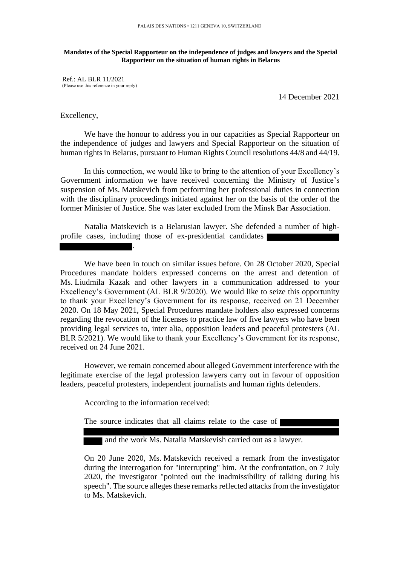## **Mandates of the Special Rapporteur on the independence of judges and lawyers and the Special Rapporteur on the situation of human rights in Belarus**

Ref.: AL BLR 11/2021 (Please use this reference in your reply)

14 December 2021

## Excellency,

We have the honour to address you in our capacities as Special Rapporteur on the independence of judges and lawyers and Special Rapporteur on the situation of human rights in Belarus, pursuant to Human Rights Council resolutions 44/8 and 44/19.

In this connection, we would like to bring to the attention of your Excellency's Government information we have received concerning the Ministry of Justice's suspension of Ms. Matskevich from performing her professional duties in connection with the disciplinary proceedings initiated against her on the basis of the order of the former Minister of Justice. She was later excluded from the Minsk Bar Association.

Natalia Matskevich is a Belarusian lawyer. She defended a number of highprofile cases, including those of ex-presidential candidates

We have been in touch on similar issues before. On 28 October 2020, Special Procedures mandate holders expressed concerns on the arrest and detention of Ms. Liudmila Kazak and other lawyers in a communication addressed to your Excellency's Government (AL BLR 9/2020). We would like to seize this opportunity to thank your Excellency's Government for its response, received on 21 December 2020. On 18 May 2021, Special Procedures mandate holders also expressed concerns regarding the revocation of the licenses to practice law of five lawyers who have been providing legal services to, inter alia, opposition leaders and peaceful protesters (AL BLR 5/2021). We would like to thank your Excellency's Government for its response, received on 24 June 2021.

However, we remain concerned about alleged Government interference with the legitimate exercise of the legal profession lawyers carry out in favour of opposition leaders, peaceful protesters, independent journalists and human rights defenders.

According to the information received:

.

The source indicates that all claims relate to the case of

and the work Ms. Natalia Matskevish carried out as a lawyer.

On 20 June 2020, Ms. Matskevich received a remark from the investigator during the interrogation for "interrupting" him. At the confrontation, on 7 July 2020, the investigator "pointed out the inadmissibility of talking during his speech". The source alleges these remarks reflected attacks from the investigator to Ms. Matskevich.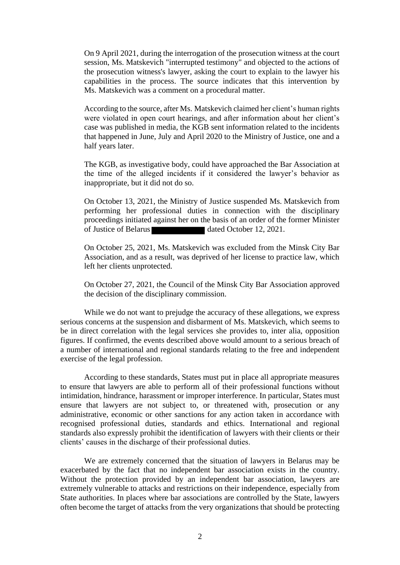On 9 April 2021, during the interrogation of the prosecution witness at the court session, Ms. Matskevich "interrupted testimony" and objected to the actions of the prosecution witness's lawyer, asking the court to explain to the lawyer his capabilities in the process. The source indicates that this intervention by Ms. Matskevich was a comment on a procedural matter.

According to the source, after Ms. Matskevich claimed her client's human rights were violated in open court hearings, and after information about her client's case was published in media, the KGB sent information related to the incidents that happened in June, July and April 2020 to the Ministry of Justice, one and a half years later.

The KGB, as investigative body, could have approached the Bar Association at the time of the alleged incidents if it considered the lawyer's behavior as inappropriate, but it did not do so.

On October 13, 2021, the Ministry of Justice suspended Ms. Matskevich from performing her professional duties in connection with the disciplinary proceedings initiated against her on the basis of an order of the former Minister of Justice of Belarus dated October 12, 2021.

On October 25, 2021, Ms. Matskevich was excluded from the Minsk City Bar Association, and as a result, was deprived of her license to practice law, which left her clients unprotected.

On October 27, 2021, the Council of the Minsk City Bar Association approved the decision of the disciplinary commission.

While we do not want to prejudge the accuracy of these allegations, we express serious concerns at the suspension and disbarment of Ms. Matskevich, which seems to be in direct correlation with the legal services she provides to, inter alia, opposition figures. If confirmed, the events described above would amount to a serious breach of a number of international and regional standards relating to the free and independent exercise of the legal profession.

According to these standards, States must put in place all appropriate measures to ensure that lawyers are able to perform all of their professional functions without intimidation, hindrance, harassment or improper interference. In particular, States must ensure that lawyers are not subject to, or threatened with, prosecution or any administrative, economic or other sanctions for any action taken in accordance with recognised professional duties, standards and ethics. International and regional standards also expressly prohibit the identification of lawyers with their clients or their clients' causes in the discharge of their professional duties.

We are extremely concerned that the situation of lawyers in Belarus may be exacerbated by the fact that no independent bar association exists in the country. Without the protection provided by an independent bar association, lawyers are extremely vulnerable to attacks and restrictions on their independence, especially from State authorities. In places where bar associations are controlled by the State, lawyers often become the target of attacks from the very organizations that should be protecting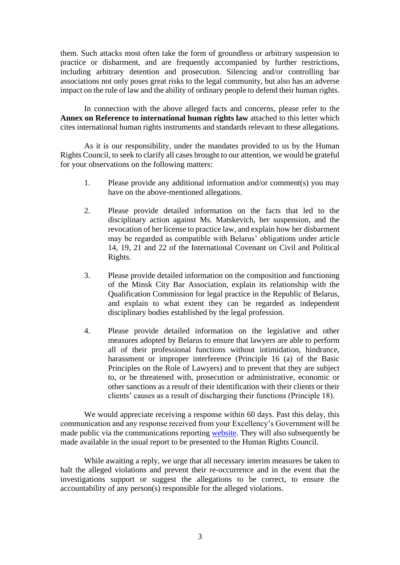them. Such attacks most often take the form of groundless or arbitrary suspension to practice or disbarment, and are frequently accompanied by further restrictions, including arbitrary detention and prosecution. Silencing and/or controlling bar associations not only poses great risks to the legal community, but also has an adverse impact on the rule of law and the ability of ordinary people to defend their human rights.

In connection with the above alleged facts and concerns, please refer to the **Annex on Reference to international human rights law** attached to this letter which cites international human rights instruments and standards relevant to these allegations.

As it is our responsibility, under the mandates provided to us by the Human Rights Council, to seek to clarify all cases brought to our attention, we would be grateful for your observations on the following matters:

- 1. Please provide any additional information and/or comment(s) you may have on the above-mentioned allegations.
- 2. Please provide detailed information on the facts that led to the disciplinary action against Ms. Matskevich, her suspension, and the revocation of her license to practice law, and explain how her disbarment may be regarded as compatible with Belarus' obligations under article 14, 19, 21 and 22 of the International Covenant on Civil and Political Rights.
- 3. Please provide detailed information on the composition and functioning of the Minsk City Bar Association, explain its relationship with the Qualification Commission for legal practice in the Republic of Belarus, and explain to what extent they can be regarded as independent disciplinary bodies established by the legal profession.
- 4. Please provide detailed information on the legislative and other measures adopted by Belarus to ensure that lawyers are able to perform all of their professional functions without intimidation, hindrance, harassment or improper interference (Principle 16 (a) of the Basic Principles on the Role of Lawyers) and to prevent that they are subject to, or be threatened with, prosecution or administrative, economic or other sanctions as a result of their identification with their clients or their clients' causes as a result of discharging their functions (Principle 18).

We would appreciate receiving a response within 60 days. Past this delay, this communication and any response received from your Excellency's Government will be made public via the communications reporting [website.](https://spcommreports.ohchr.org/) They will also subsequently be made available in the usual report to be presented to the Human Rights Council.

While awaiting a reply, we urge that all necessary interim measures be taken to halt the alleged violations and prevent their re-occurrence and in the event that the investigations support or suggest the allegations to be correct, to ensure the accountability of any person(s) responsible for the alleged violations.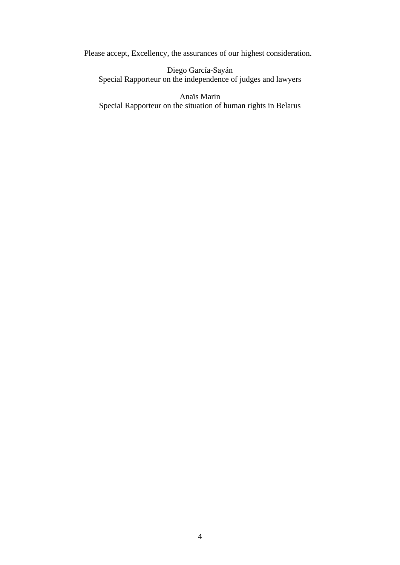Please accept, Excellency, the assurances of our highest consideration.

Diego García-Sayán Special Rapporteur on the independence of judges and lawyers

Anaïs Marin Special Rapporteur on the situation of human rights in Belarus